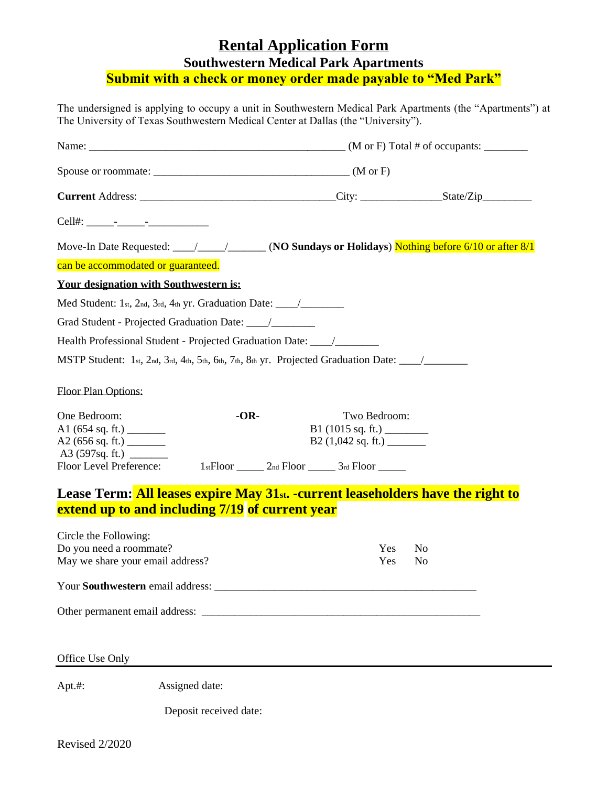## **Rental Application Form Southwestern Medical Park Apartments**

**Submit with a check or money order made payable to "Med Park"**

The undersigned is applying to occupy a unit in Southwestern Medical Park Apartments (the "Apartments") at The University of Texas Southwestern Medical Center at Dallas (the "University").

| can be accommodated or guaranteed.                                                   |                                                                                                                                                 |
|--------------------------------------------------------------------------------------|-------------------------------------------------------------------------------------------------------------------------------------------------|
| <b>Your designation with Southwestern is:</b>                                        |                                                                                                                                                 |
| Med Student: 1st, 2nd, 3rd, 4th yr. Graduation Date: ____________________________    |                                                                                                                                                 |
|                                                                                      |                                                                                                                                                 |
| Health Professional Student - Projected Graduation Date: _______________________     |                                                                                                                                                 |
|                                                                                      |                                                                                                                                                 |
| Floor Plan Options:                                                                  |                                                                                                                                                 |
| $-OR-$<br>One Bedroom:<br>A1(654 sq. ft.)<br>Floor Level Preference:                 | Two Bedroom:<br>B1 $(1015 \text{ sq. ft.})$<br>$B2(1,042 \text{ sq. ft.})$<br>$1$ stFloor ________ $2$ nd Floor _________ $3$ rd Floor ________ |
|                                                                                      | Lease Term: All leases expire May 31st. - current leaseholders have the right to                                                                |
| extend up to and including 7/19 of current year                                      |                                                                                                                                                 |
| Circle the Following:<br>Do you need a roommate?<br>May we share your email address? | Yes<br>N <sub>0</sub><br>Yes<br>No                                                                                                              |
| Your Southwestern email address: Non-                                                |                                                                                                                                                 |
|                                                                                      |                                                                                                                                                 |
|                                                                                      |                                                                                                                                                 |
| Office Use Only                                                                      |                                                                                                                                                 |
| Assigned date:<br>Apt.#:                                                             |                                                                                                                                                 |
| Deposit received date:                                                               |                                                                                                                                                 |
|                                                                                      |                                                                                                                                                 |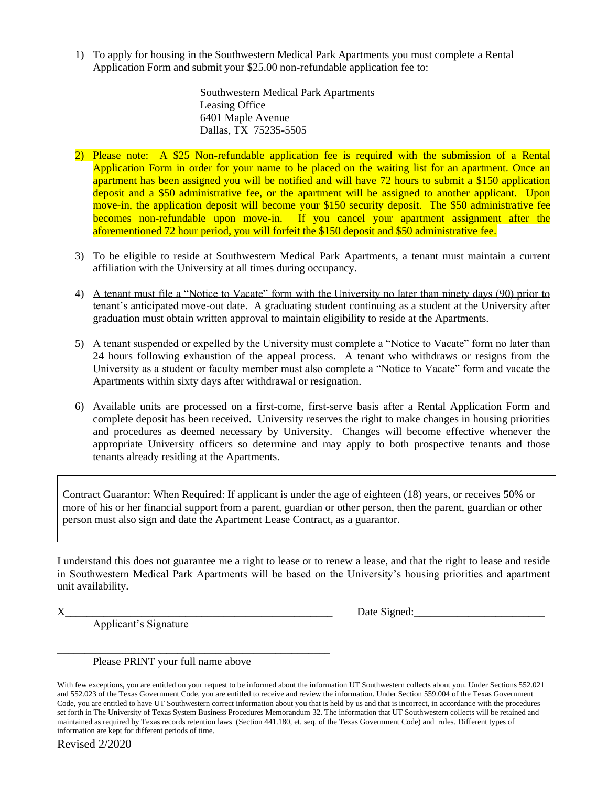1) To apply for housing in the Southwestern Medical Park Apartments you must complete a Rental Application Form and submit your \$25.00 non-refundable application fee to:

> Southwestern Medical Park Apartments Leasing Office 6401 Maple Avenue Dallas, TX 75235-5505

- 2) Please note: A \$25 Non-refundable application fee is required with the submission of a Rental Application Form in order for your name to be placed on the waiting list for an apartment. Once an apartment has been assigned you will be notified and will have 72 hours to submit a \$150 application deposit and a \$50 administrative fee, or the apartment will be assigned to another applicant. Upon move-in, the application deposit will become your \$150 security deposit. The \$50 administrative fee becomes non-refundable upon move-in. If you cancel your apartment assignment after the aforementioned 72 hour period, you will forfeit the \$150 deposit and \$50 administrative fee.
- 3) To be eligible to reside at Southwestern Medical Park Apartments, a tenant must maintain a current affiliation with the University at all times during occupancy.
- 4) A tenant must file a "Notice to Vacate" form with the University no later than ninety days (90) prior to tenant's anticipated move-out date. A graduating student continuing as a student at the University after graduation must obtain written approval to maintain eligibility to reside at the Apartments.
- 5) A tenant suspended or expelled by the University must complete a "Notice to Vacate" form no later than 24 hours following exhaustion of the appeal process. A tenant who withdraws or resigns from the University as a student or faculty member must also complete a "Notice to Vacate" form and vacate the Apartments within sixty days after withdrawal or resignation.
- 6) Available units are processed on a first-come, first-serve basis after a Rental Application Form and complete deposit has been received. University reserves the right to make changes in housing priorities and procedures as deemed necessary by University. Changes will become effective whenever the appropriate University officers so determine and may apply to both prospective tenants and those tenants already residing at the Apartments.

Contract Guarantor: When Required: If applicant is under the age of eighteen (18) years, or receives 50% or more of his or her financial support from a parent, guardian or other person, then the parent, guardian or other person must also sign and date the Apartment Lease Contract, as a guarantor.

I understand this does not guarantee me a right to lease or to renew a lease, and that the right to lease and reside in Southwestern Medical Park Apartments will be based on the University's housing priorities and apartment unit availability.

Applicant's Signature

 $X$  Date Signed:

Please PRINT your full name above

\_\_\_\_\_\_\_\_\_\_\_\_\_\_\_\_\_\_\_\_\_\_\_\_\_\_\_\_\_\_\_\_\_\_\_\_\_\_\_\_\_\_\_\_\_\_\_\_\_\_

With few exceptions, you are entitled on your request to be informed about the information UT Southwestern collects about you. Under Sections 552.021 and 552.023 of the Texas Government Code, you are entitled to receive and review the information. Under Section 559.004 of the Texas Government Code, you are entitled to have UT Southwestern correct information about you that is held by us and that is incorrect, in accordance with the procedures set forth in The University of Texas System Business Procedures Memorandum 32. The information that UT Southwestern collects will be retained and maintained as required by Texas records retention laws (Section 441.180, et. seq. of the Texas Government Code) and rules. Different types of information are kept for different periods of time.